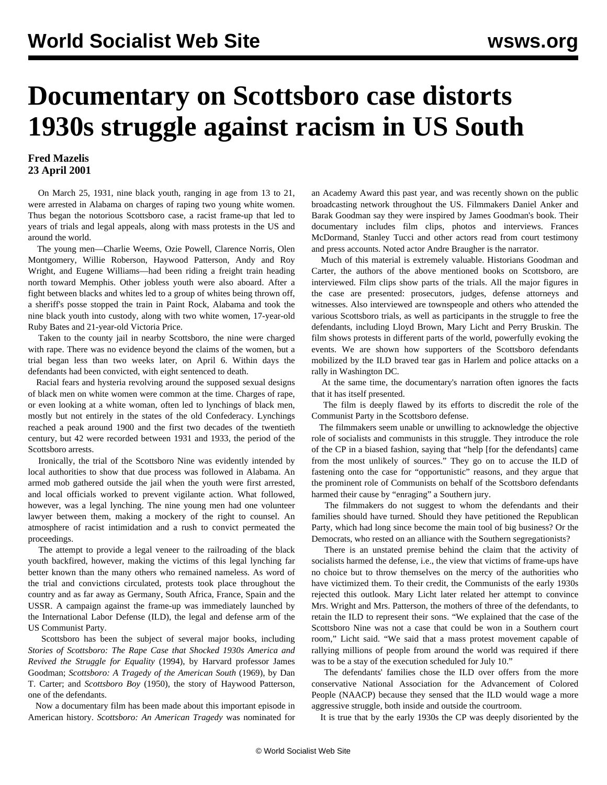## **Documentary on Scottsboro case distorts 1930s struggle against racism in US South**

## **Fred Mazelis 23 April 2001**

 On March 25, 1931, nine black youth, ranging in age from 13 to 21, were arrested in Alabama on charges of raping two young white women. Thus began the notorious Scottsboro case, a racist frame-up that led to years of trials and legal appeals, along with mass protests in the US and around the world.

 The young men—Charlie Weems, Ozie Powell, Clarence Norris, Olen Montgomery, Willie Roberson, Haywood Patterson, Andy and Roy Wright, and Eugene Williams—had been riding a freight train heading north toward Memphis. Other jobless youth were also aboard. After a fight between blacks and whites led to a group of whites being thrown off, a sheriff's posse stopped the train in Paint Rock, Alabama and took the nine black youth into custody, along with two white women, 17-year-old Ruby Bates and 21-year-old Victoria Price.

 Taken to the county jail in nearby Scottsboro, the nine were charged with rape. There was no evidence beyond the claims of the women, but a trial began less than two weeks later, on April 6. Within days the defendants had been convicted, with eight sentenced to death.

 Racial fears and hysteria revolving around the supposed sexual designs of black men on white women were common at the time. Charges of rape, or even looking at a white woman, often led to lynchings of black men, mostly but not entirely in the states of the old Confederacy. Lynchings reached a peak around 1900 and the first two decades of the twentieth century, but 42 were recorded between 1931 and 1933, the period of the Scottsboro arrests.

 Ironically, the trial of the Scottsboro Nine was evidently intended by local authorities to show that due process was followed in Alabama. An armed mob gathered outside the jail when the youth were first arrested, and local officials worked to prevent vigilante action. What followed, however, was a legal lynching. The nine young men had one volunteer lawyer between them, making a mockery of the right to counsel. An atmosphere of racist intimidation and a rush to convict permeated the proceedings.

 The attempt to provide a legal veneer to the railroading of the black youth backfired, however, making the victims of this legal lynching far better known than the many others who remained nameless. As word of the trial and convictions circulated, protests took place throughout the country and as far away as Germany, South Africa, France, Spain and the USSR. A campaign against the frame-up was immediately launched by the International Labor Defense (ILD), the legal and defense arm of the US Communist Party.

 Scottsboro has been the subject of several major books, including *Stories of Scottsboro: The Rape Case that Shocked 1930s America and Revived the Struggle for Equality* (1994), by Harvard professor James Goodman; *Scottsboro: A Tragedy of the American South* (1969), by Dan T. Carter; and *Scottsboro Boy* (1950), the story of Haywood Patterson, one of the defendants.

 Now a documentary film has been made about this important episode in American history. *Scottsboro: An American Tragedy* was nominated for

an Academy Award this past year, and was recently shown on the public broadcasting network throughout the US. Filmmakers Daniel Anker and Barak Goodman say they were inspired by James Goodman's book. Their documentary includes film clips, photos and interviews. Frances McDormand, Stanley Tucci and other actors read from court testimony and press accounts. Noted actor Andre Braugher is the narrator.

 Much of this material is extremely valuable. Historians Goodman and Carter, the authors of the above mentioned books on Scottsboro, are interviewed. Film clips show parts of the trials. All the major figures in the case are presented: prosecutors, judges, defense attorneys and witnesses. Also interviewed are townspeople and others who attended the various Scottsboro trials, as well as participants in the struggle to free the defendants, including Lloyd Brown, Mary Licht and Perry Bruskin. The film shows protests in different parts of the world, powerfully evoking the events. We are shown how supporters of the Scottsboro defendants mobilized by the ILD braved tear gas in Harlem and police attacks on a rally in Washington DC.

 At the same time, the documentary's narration often ignores the facts that it has itself presented.

 The film is deeply flawed by its efforts to discredit the role of the Communist Party in the Scottsboro defense.

 The filmmakers seem unable or unwilling to acknowledge the objective role of socialists and communists in this struggle. They introduce the role of the CP in a biased fashion, saying that "help [for the defendants] came from the most unlikely of sources." They go on to accuse the ILD of fastening onto the case for "opportunistic" reasons, and they argue that the prominent role of Communists on behalf of the Scottsboro defendants harmed their cause by "enraging" a Southern jury.

 The filmmakers do not suggest to whom the defendants and their families should have turned. Should they have petitioned the Republican Party, which had long since become the main tool of big business? Or the Democrats, who rested on an alliance with the Southern segregationists?

 There is an unstated premise behind the claim that the activity of socialists harmed the defense, i.e., the view that victims of frame-ups have no choice but to throw themselves on the mercy of the authorities who have victimized them. To their credit, the Communists of the early 1930s rejected this outlook. Mary Licht later related her attempt to convince Mrs. Wright and Mrs. Patterson, the mothers of three of the defendants, to retain the ILD to represent their sons. "We explained that the case of the Scottsboro Nine was not a case that could be won in a Southern court room," Licht said. "We said that a mass protest movement capable of rallying millions of people from around the world was required if there was to be a stay of the execution scheduled for July 10."

 The defendants' families chose the ILD over offers from the more conservative National Association for the Advancement of Colored People (NAACP) because they sensed that the ILD would wage a more aggressive struggle, both inside and outside the courtroom.

It is true that by the early 1930s the CP was deeply disoriented by the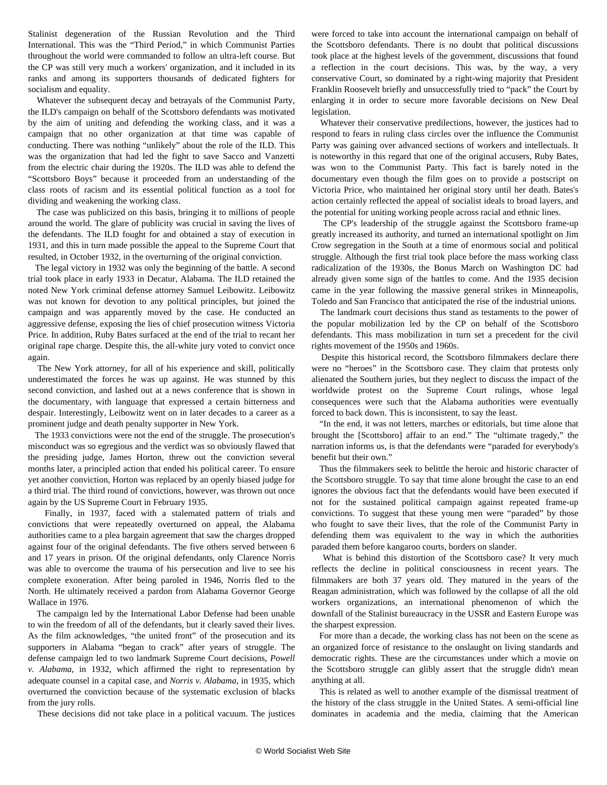Stalinist degeneration of the Russian Revolution and the Third International. This was the "Third Period," in which Communist Parties throughout the world were commanded to follow an ultra-left course. But the CP was still very much a workers' organization, and it included in its ranks and among its supporters thousands of dedicated fighters for socialism and equality.

 Whatever the subsequent decay and betrayals of the Communist Party, the ILD's campaign on behalf of the Scottsboro defendants was motivated by the aim of uniting and defending the working class, and it was a campaign that no other organization at that time was capable of conducting. There was nothing "unlikely" about the role of the ILD. This was the organization that had led the fight to save Sacco and Vanzetti from the electric chair during the 1920s. The ILD was able to defend the "Scottsboro Boys" because it proceeded from an understanding of the class roots of racism and its essential political function as a tool for dividing and weakening the working class.

 The case was publicized on this basis, bringing it to millions of people around the world. The glare of publicity was crucial in saving the lives of the defendants. The ILD fought for and obtained a stay of execution in 1931, and this in turn made possible the appeal to the Supreme Court that resulted, in October 1932, in the overturning of the original conviction.

 The legal victory in 1932 was only the beginning of the battle. A second trial took place in early 1933 in Decatur, Alabama. The ILD retained the noted New York criminal defense attorney Samuel Leibowitz. Leibowitz was not known for devotion to any political principles, but joined the campaign and was apparently moved by the case. He conducted an aggressive defense, exposing the lies of chief prosecution witness Victoria Price. In addition, Ruby Bates surfaced at the end of the trial to recant her original rape charge. Despite this, the all-white jury voted to convict once again.

 The New York attorney, for all of his experience and skill, politically underestimated the forces he was up against. He was stunned by this second conviction, and lashed out at a news conference that is shown in the documentary, with language that expressed a certain bitterness and despair. Interestingly, Leibowitz went on in later decades to a career as a prominent judge and death penalty supporter in New York.

 The 1933 convictions were not the end of the struggle. The prosecution's misconduct was so egregious and the verdict was so obviously flawed that the presiding judge, James Horton, threw out the conviction several months later, a principled action that ended his political career. To ensure yet another conviction, Horton was replaced by an openly biased judge for a third trial. The third round of convictions, however, was thrown out once again by the US Supreme Court in February 1935.

 Finally, in 1937, faced with a stalemated pattern of trials and convictions that were repeatedly overturned on appeal, the Alabama authorities came to a plea bargain agreement that saw the charges dropped against four of the original defendants. The five others served between 6 and 17 years in prison. Of the original defendants, only Clarence Norris was able to overcome the trauma of his persecution and live to see his complete exoneration. After being paroled in 1946, Norris fled to the North. He ultimately received a pardon from Alabama Governor George Wallace in 1976.

 The campaign led by the International Labor Defense had been unable to win the freedom of all of the defendants, but it clearly saved their lives. As the film acknowledges, "the united front" of the prosecution and its supporters in Alabama "began to crack" after years of struggle. The defense campaign led to two landmark Supreme Court decisions, *Powell v. Alabama*, in 1932, which affirmed the right to representation by adequate counsel in a capital case, and *Norris v. Alabama*, in 1935, which overturned the conviction because of the systematic exclusion of blacks from the jury rolls.

These decisions did not take place in a political vacuum. The justices

were forced to take into account the international campaign on behalf of the Scottsboro defendants. There is no doubt that political discussions took place at the highest levels of the government, discussions that found a reflection in the court decisions. This was, by the way, a very conservative Court, so dominated by a right-wing majority that President Franklin Roosevelt briefly and unsuccessfully tried to "pack" the Court by enlarging it in order to secure more favorable decisions on New Deal legislation.

 Whatever their conservative predilections, however, the justices had to respond to fears in ruling class circles over the influence the Communist Party was gaining over advanced sections of workers and intellectuals. It is noteworthy in this regard that one of the original accusers, Ruby Bates, was won to the Communist Party. This fact is barely noted in the documentary even though the film goes on to provide a postscript on Victoria Price, who maintained her original story until her death. Bates's action certainly reflected the appeal of socialist ideals to broad layers, and the potential for uniting working people across racial and ethnic lines.

 The CP's leadership of the struggle against the Scottsboro frame-up greatly increased its authority, and turned an international spotlight on Jim Crow segregation in the South at a time of enormous social and political struggle. Although the first trial took place before the mass working class radicalization of the 1930s, the Bonus March on Washington DC had already given some sign of the battles to come. And the 1935 decision came in the year following the massive general strikes in Minneapolis, Toledo and San Francisco that anticipated the rise of the industrial unions.

 The landmark court decisions thus stand as testaments to the power of the popular mobilization led by the CP on behalf of the Scottsboro defendants. This mass mobilization in turn set a precedent for the civil rights movement of the 1950s and 1960s.

 Despite this historical record, the Scottsboro filmmakers declare there were no "heroes" in the Scottsboro case. They claim that protests only alienated the Southern juries, but they neglect to discuss the impact of the worldwide protest on the Supreme Court rulings, whose legal consequences were such that the Alabama authorities were eventually forced to back down. This is inconsistent, to say the least.

 "In the end, it was not letters, marches or editorials, but time alone that brought the [Scottsboro] affair to an end." The "ultimate tragedy," the narration informs us, is that the defendants were "paraded for everybody's benefit but their own."

 Thus the filmmakers seek to belittle the heroic and historic character of the Scottsboro struggle. To say that time alone brought the case to an end ignores the obvious fact that the defendants would have been executed if not for the sustained political campaign against repeated frame-up convictions. To suggest that these young men were "paraded" by those who fought to save their lives, that the role of the Communist Party in defending them was equivalent to the way in which the authorities paraded them before kangaroo courts, borders on slander.

 What is behind this distortion of the Scottsboro case? It very much reflects the decline in political consciousness in recent years. The filmmakers are both 37 years old. They matured in the years of the Reagan administration, which was followed by the collapse of all the old workers organizations, an international phenomenon of which the downfall of the Stalinist bureaucracy in the USSR and Eastern Europe was the sharpest expression.

 For more than a decade, the working class has not been on the scene as an organized force of resistance to the onslaught on living standards and democratic rights. These are the circumstances under which a movie on the Scottsboro struggle can glibly assert that the struggle didn't mean anything at all.

 This is related as well to another example of the dismissal treatment of the history of the class struggle in the United States. A semi-official line dominates in academia and the media, claiming that the American